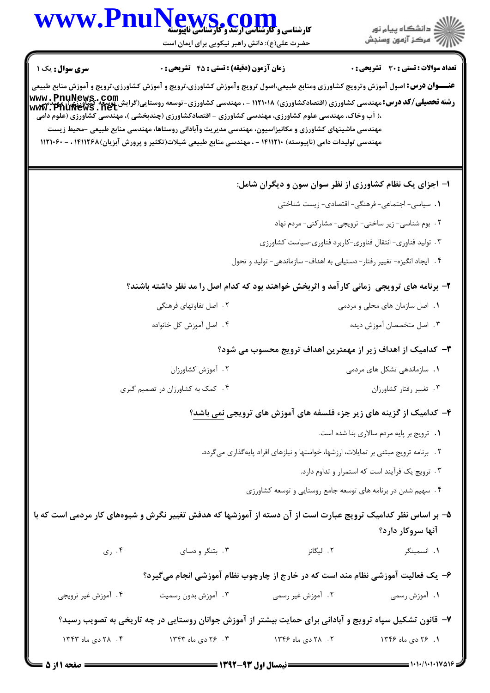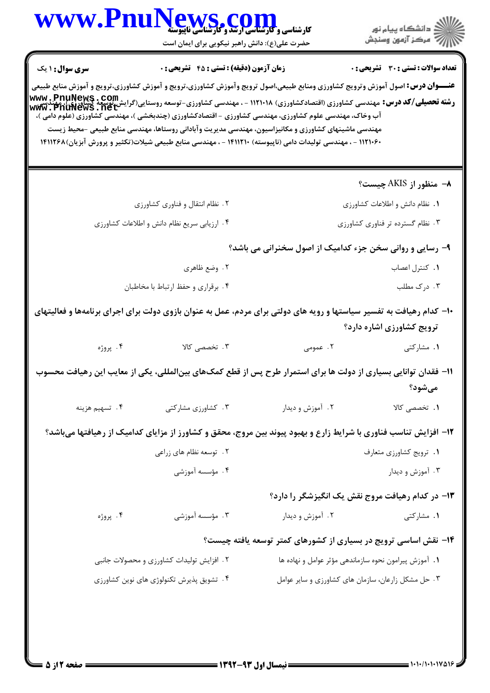|                                          | WWW.PnuNews.com<br>حضرت علی(ع): دانش راهبر نیکویی برای ایمان است                                                                                                                                                                                                                                                                                                                                                                                                                                                                                                                                                                                                                                                    |                                                                 | ِ<br>∭ دانشڪاه پيام نور<br>∭ مرڪز آزمون وسنڊش      |
|------------------------------------------|---------------------------------------------------------------------------------------------------------------------------------------------------------------------------------------------------------------------------------------------------------------------------------------------------------------------------------------------------------------------------------------------------------------------------------------------------------------------------------------------------------------------------------------------------------------------------------------------------------------------------------------------------------------------------------------------------------------------|-----------------------------------------------------------------|----------------------------------------------------|
| <b>سری سوال :</b> ۱ یک                   | <b>زمان آزمون (دقیقه) : تستی : 45 گشریحی : 0</b>                                                                                                                                                                                                                                                                                                                                                                                                                                                                                                                                                                                                                                                                    |                                                                 | <b>تعداد سوالات : تستي : 30 ٪ تشريحي : 0</b>       |
|                                          | <b>عنـــوان درس:</b> اصول آموزش وترويج كشاورزى ومنابع طبيعى،اصول ترويج وآموزش كشاورزى،ترويج و آموزش كشاورزى،ترويج و آموزش منابع طبيعى<br><b>رشته تحصیلی/کد درس:</b> مهندسی کشاورزی (اقتصادکشاورزی) ۱۱۲۱۰۱۸ - ، مهندسی کشاورزی-توسعه روستایی(گرایش نوسعه کشاورزی)، مهندسی<br><b>رشته تحصیلی/کد درس:</b> مهندسی کشاورزی (اقتصادکشاورزی) ۱۱۲۱۰۱۸ - ، مهندسی کشاورزی-توسعه روستایی(گرای<br>آب وخاک، مهندسی علوم کشاورزی، مهندسی کشاورزی - اقتصادکشاورزی (چندبخشی )، مهندسی کشاورزی (علوم دامی )،<br>مهندسی ماشینهای کشاورزی و مکانیزاسیون، مهندسی مدیریت وآبادانی روستاها، مهندسی منابع طبیعی -محیط زیست<br>۱۲۱۰۶۰ - ، مهندسی تولیدات دامی (ناپیوسته) ۱۴۱۱۲۱۰ - ، مهندسی منابع طبیعی شیلات(تکثیر و پرورش آبزیان)۱۴۱۱۲۶۸ |                                                                 |                                                    |
|                                          |                                                                                                                                                                                                                                                                                                                                                                                                                                                                                                                                                                                                                                                                                                                     |                                                                 | ٨- منظور از AKIS چیست؟                             |
|                                          | ۲. نظام انتقال و فناوری کشاورزی                                                                                                                                                                                                                                                                                                                                                                                                                                                                                                                                                                                                                                                                                     |                                                                 | ١. نظام دانش و اطلاعات كشاورزي                     |
|                                          | ۰۴ ارزیابی سریع نظام دانش و اطلاعات کشاورزی                                                                                                                                                                                                                                                                                                                                                                                                                                                                                                                                                                                                                                                                         |                                                                 | ۰۳ نظام گسترده تر فناوری کشاورزی                   |
|                                          |                                                                                                                                                                                                                                                                                                                                                                                                                                                                                                                                                                                                                                                                                                                     | ۹- رسایی و روانی سخن جزء کدامیک از اصول سخنرانی می باشد؟        |                                                    |
|                                          | ۰۲ وضع ظاهري                                                                                                                                                                                                                                                                                                                                                                                                                                                                                                                                                                                                                                                                                                        |                                                                 | ٠١. كنترل اعصاب                                    |
|                                          | ۰۴ برقراري و حفظ ارتباط با مخاطبان                                                                                                                                                                                                                                                                                                                                                                                                                                                                                                                                                                                                                                                                                  |                                                                 | ۰۳ درک مطلب                                        |
|                                          | ۱۰- کدام رهیافت به تفسیر سیاستها و رویه های دولتی برای مردم، عمل به عنوان بازوی دولت برای اجرای برنامهها و فعاليتهای                                                                                                                                                                                                                                                                                                                                                                                                                                                                                                                                                                                                |                                                                 | ترویج کشاورزی اشاره دارد؟                          |
| ۰۴ پروژه                                 | ۰۳ تخصصی کالا                                                                                                                                                                                                                                                                                                                                                                                                                                                                                                                                                                                                                                                                                                       | ۲. عمومی                                                        | ۰۱ مشارکتی                                         |
|                                          | 1۱– فقدان توانایی بسیاری از دولت ها برای استمرار طرح پس از قطع کمک&ای بینالمللی، یکی از معایب این رهیافت محسوب                                                                                                                                                                                                                                                                                                                                                                                                                                                                                                                                                                                                      |                                                                 | مىشود؟                                             |
| ۰۴ تسهيم هزينه                           | ۰۳ کشاورزی مشارکتی                                                                                                                                                                                                                                                                                                                                                                                                                                                                                                                                                                                                                                                                                                  | ۰۲ آموزش و دیدار                                                | ۰۱. تخصصی کالا                                     |
|                                          | ۱۲- افزایش تناسب فناوری با شرایط زارع و بهبود پیوند بین مروج، محقق و کشاورز از مزایای کدامیک از رهیافتها میباشد؟                                                                                                                                                                                                                                                                                                                                                                                                                                                                                                                                                                                                    |                                                                 |                                                    |
|                                          | ۲ . توسعه نظام های زراعی                                                                                                                                                                                                                                                                                                                                                                                                                                                                                                                                                                                                                                                                                            |                                                                 | ٠١. ترويج كشاورزي متعارف                           |
|                                          | ۴ . مؤسسه آموزشی                                                                                                                                                                                                                                                                                                                                                                                                                                                                                                                                                                                                                                                                                                    |                                                                 | ۰۳ آموزش و دیدار                                   |
|                                          |                                                                                                                                                                                                                                                                                                                                                                                                                                                                                                                                                                                                                                                                                                                     | ۱۳- در کدام رهیافت مروج نقش یک انگیزشگر را دارد؟                |                                                    |
| ۰۴ پروژه                                 | ۰۳ مؤسسه آموزشی                                                                                                                                                                                                                                                                                                                                                                                                                                                                                                                                                                                                                                                                                                     | ۰۲ آموزش و دیدار                                                | ۰۱ مشارکتی                                         |
|                                          |                                                                                                                                                                                                                                                                                                                                                                                                                                                                                                                                                                                                                                                                                                                     | ۱۴- نقش اساسی ترویج در بسیاری از کشورهای کمتر توسعه یافته چیست؟ |                                                    |
|                                          | ۲. افزایش تولیدات کشاورزی و محصولات جانبی                                                                                                                                                                                                                                                                                                                                                                                                                                                                                                                                                                                                                                                                           | ٠١. آموزش پيرامون نحوه سازماندهي مؤثر عوامل و نهاده ها          |                                                    |
| ۰۴ تشویق پذیرش تکنولوژی های نوین کشاورزی |                                                                                                                                                                                                                                                                                                                                                                                                                                                                                                                                                                                                                                                                                                                     |                                                                 | ۰۳ حل مشکل زارعان، سازمان های کشاورزی و سایر عوامل |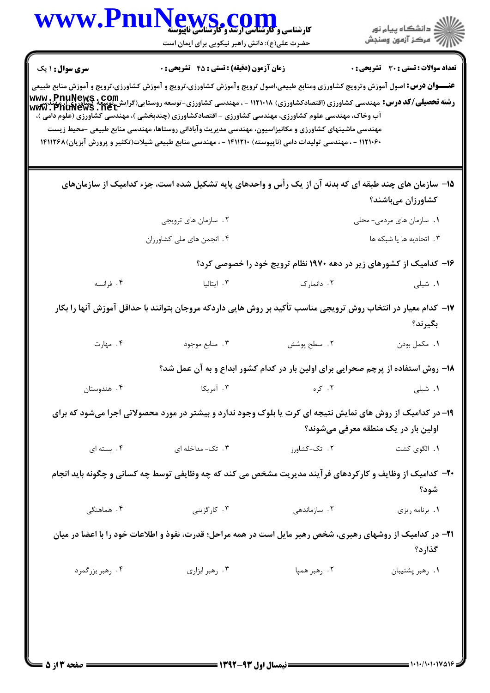|                        | کارشناسی و کارشناسی ارتقد و گاریکا<br>کارشناسی و کارشناسی ارتقد و گارشناسی ناپیوسته<br>حضرت علی(ع): دانش راهبر نیکویی برای ایمان است                                                                                                                                                                                                                                                                                                                                                                                                                                                                                                                                                               |                                                                                  | ڪ دانشڪاه پيام نور<br>ر∕ = مرڪز آزمون وسنڊش |
|------------------------|----------------------------------------------------------------------------------------------------------------------------------------------------------------------------------------------------------------------------------------------------------------------------------------------------------------------------------------------------------------------------------------------------------------------------------------------------------------------------------------------------------------------------------------------------------------------------------------------------------------------------------------------------------------------------------------------------|----------------------------------------------------------------------------------|---------------------------------------------|
| <b>سری سوال : ۱ یک</b> | <b>زمان آزمون (دقیقه) : تستی : 45 تشریحی : 0</b><br><b>عنـــوان درس:</b> اصول آموزش وترويج كشاورزى ومنابع طبيعى،اصول ترويج وآموزش كشاورزى،ترويج و آموزش كشاورزى،ترويج و آموزش منابع طبيعى<br><b>رشته تحصیلی/کد درس:</b><br>مهندسی میشه بیندسی کشاورزی (اقتصادکشاورزی) ۱۱۲۱۰۱۸ - ، مهندسی کشاورزی-توسعه روستایی(گرایش نوسعه کشاورزی)، مهندسی<br>www . PnuNews . net<br>آب وخاک، مهندسی علوم کشاورزی، مهندسی کشاورزی - اقتصادکشاورزی (چندبخشی )، مهندسی کشاورزی (علوم دامی )،<br>مهندسی ماشینهای کشاورزی و مکانیزاسیون، مهندسی مدیریت وآبادانی روستاها، مهندسی منابع طبیعی -محیط زیست<br>۱۲۱۰۶۰ - ، مهندسی تولیدات دامی (ناپیوسته) ۱۴۱۱۲۱۰ - ، مهندسی منابع طبیعی شیلات(تکثیر و پرورش آبزیان)۱۴۱۱۲۶۸ |                                                                                  | تعداد سوالات : تستي : 30 ٪ تشريحي : 0       |
|                        | ۱۵− سازمان های چند طبقه ای که بدنه آن از یک رأس و واحدهای پایه تشکیل شده است، جزء کدامیک از سازمانهای                                                                                                                                                                                                                                                                                                                                                                                                                                                                                                                                                                                              |                                                                                  | کشاورزان میباشند؟                           |
|                        | ۲. سازمان های ترویجی                                                                                                                                                                                                                                                                                                                                                                                                                                                                                                                                                                                                                                                                               |                                                                                  | 1. سازمان های مردمی- محلی                   |
|                        | ۰۴ انجمن های ملی کشاورزان                                                                                                                                                                                                                                                                                                                                                                                                                                                                                                                                                                                                                                                                          |                                                                                  | ۰۳ اتحادیه ها یا شبکه ها                    |
|                        |                                                                                                                                                                                                                                                                                                                                                                                                                                                                                                                                                                                                                                                                                                    | ۱۶– کدامیک از کشورهای زیر در دهه ۱۹۷۰ نظام ترویج خود را خصوصی کرد؟               |                                             |
| ۰۴ فرانسه              | ۰۳ ایتالیا                                                                                                                                                                                                                                                                                                                                                                                                                                                                                                                                                                                                                                                                                         | ۰۲ دانمارک                                                                       | ٠١. شيلى                                    |
|                        | ۱۷– کدام معیار در انتخاب روش ترویجی مناسب تأکید بر روش هایی داردکه مروجان بتوانند با حداقل آموزش آنها را بکار                                                                                                                                                                                                                                                                                                                                                                                                                                                                                                                                                                                      |                                                                                  | بگيرند؟                                     |
| ۰۴ مهارت               | ۰۳ منابع موجود                                                                                                                                                                                                                                                                                                                                                                                                                                                                                                                                                                                                                                                                                     | ٢. سطح پوشش                                                                      | ٠١. مكمل بودن                               |
|                        |                                                                                                                                                                                                                                                                                                                                                                                                                                                                                                                                                                                                                                                                                                    | ۱۸- روش استفاده از پرچم صحرایی برای اولین بار در کدام کشور ابداع و به آن عمل شد؟ |                                             |
| ۰۴ هندوستان            | ۰۳ آمریکا                                                                                                                                                                                                                                                                                                                                                                                                                                                                                                                                                                                                                                                                                          | ۰۲ کره                                                                           | ٠١. شيلى                                    |
|                        | ۱۹- در کدامیک از روش های نمایش نتیجه ای کرت یا بلوک وجود ندارد و بیشتر در مورد محصولاتی اجرا میشود که برای                                                                                                                                                                                                                                                                                                                                                                                                                                                                                                                                                                                         |                                                                                  | اولین بار در یک منطقه معرفی میشوند؟         |
| ۰۴ بسته ای             | ۰۳ تک- مداخله ای                                                                                                                                                                                                                                                                                                                                                                                                                                                                                                                                                                                                                                                                                   | ۲. تک-کشاورز                                                                     | ٠١. الگوى كشت                               |
|                        | ۲۰- کدامیک از وظایف و کارکردهای فرآیند مدیریت مشخص می کند که چه وظایفی توسط چه کسانی و چگونه باید انجام                                                                                                                                                                                                                                                                                                                                                                                                                                                                                                                                                                                            |                                                                                  | شود؟                                        |
| ۴. هماهنگی             | ۰۳ کارگزینی                                                                                                                                                                                                                                                                                                                                                                                                                                                                                                                                                                                                                                                                                        | ۰۲ سازماندهی                                                                     | ٠١. برنامه ريزي                             |
|                        | ۲۱- در کدامیک از روشهای رهبری، شخص رهبر مایل است در همه مراحل؛ قدرت، نفوذ و اطلاعات خود را با اعضا در میان                                                                                                                                                                                                                                                                                                                                                                                                                                                                                                                                                                                         |                                                                                  | گذارد؟                                      |
|                        |                                                                                                                                                                                                                                                                                                                                                                                                                                                                                                                                                                                                                                                                                                    |                                                                                  |                                             |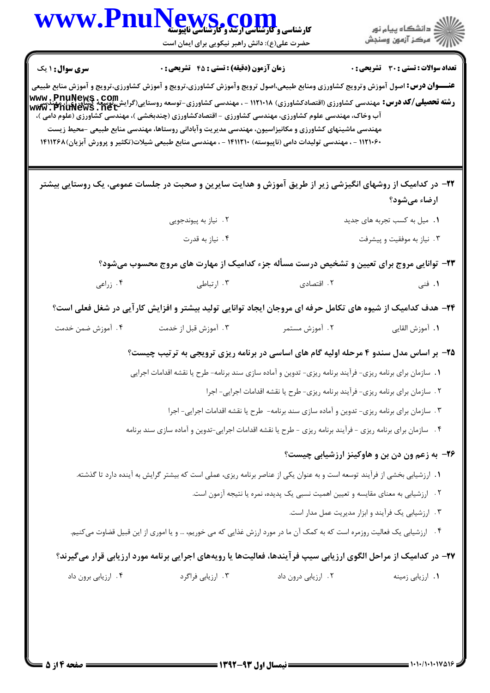| WWW.FD                 | کارشناسی و کارشناسی ارتقد و گارشناسی ناپیوسته                                                                                                                                                                                                                                                                                                                                                                                                                                                                                                                                                                                   |                                                                                             | ڪ دانشڪاه پيا <sub>م</sub> نور<br>∕ <sup>7</sup> مرڪز آزمون وسنڊش |
|------------------------|---------------------------------------------------------------------------------------------------------------------------------------------------------------------------------------------------------------------------------------------------------------------------------------------------------------------------------------------------------------------------------------------------------------------------------------------------------------------------------------------------------------------------------------------------------------------------------------------------------------------------------|---------------------------------------------------------------------------------------------|-------------------------------------------------------------------|
|                        | حضرت علی(ع): دانش راهبر نیکویی برای ایمان است                                                                                                                                                                                                                                                                                                                                                                                                                                                                                                                                                                                   |                                                                                             |                                                                   |
| <b>سری سوال :</b> ۱ یک | <b>زمان آزمون (دقیقه) : تستی : 45 قشریحی : 0</b>                                                                                                                                                                                                                                                                                                                                                                                                                                                                                                                                                                                |                                                                                             | تعداد سوالات : تستي : 30 ٪ تشريحي : 0                             |
|                        | <b>عنـــوان درس:</b> اصول آموزش وترويج كشاورزى ومنابع طبيعى،اصول ترويج وآموزش كشاورزى،ترويج و آموزش كشاورزى،ترويج و آموزش منابع طبيعى<br><b>رشته تحصیلی/کد درس:</b> مهندسی کشاورزی (اقتصادکشاورزی) ۱۱۲۱۰۱۸ - ، مهندسی کشاورزی-توسعه روستایی(گرایش توسعه کشاورزی)، میندسی<br>www . PnuNews . net<br>آب وخاک، مهندسی علوم کشاورزی، مهندسی کشاورزی - اقتصادکشاورزی (چندبخشی )، مهندسی کشاورزی (علوم دامی )،<br>مهندسی ماشینهای کشاورزی و مکانیزاسیون، مهندسی مدیریت وآبادانی روستاها، مهندسی منابع طبیعی -محیط زیست<br>۱۲۱۰۶۰ - ، مهندسی تولیدات دامی (ناپیوسته) ۱۴۱۱۲۱۰ - ، مهندسی منابع طبیعی شیلات(تکثیر و پرورش آبزیان)۱۴۱۱۲۶۸ |                                                                                             |                                                                   |
|                        | ۲۲– در کدامیک از روشهای انگیزشی زیر از طریق آموزش و هدایت سایرین و صحبت در جلسات عمومی، یک روستایی بیشتر                                                                                                                                                                                                                                                                                                                                                                                                                                                                                                                        |                                                                                             | ارضاء مىشود؟                                                      |
|                        | ۰۲ نیاز به پیوندجویی                                                                                                                                                                                                                                                                                                                                                                                                                                                                                                                                                                                                            |                                                                                             | ١. ميل به كسب تجربه هاى جديد                                      |
|                        | ۴. نیاز به قدرت                                                                                                                                                                                                                                                                                                                                                                                                                                                                                                                                                                                                                 |                                                                                             | ۰۳ نیاز به موفقیت و پیشرفت                                        |
|                        | ۲۳- توانایی مروج برای تعیین و تشخیص درست مسأله جزء کدامیک از مهارت های مروج محسوب میشود؟                                                                                                                                                                                                                                                                                                                                                                                                                                                                                                                                        |                                                                                             |                                                                   |
| ۰۴ زراعی               | ۰۳ ارتباطی                                                                                                                                                                                                                                                                                                                                                                                                                                                                                                                                                                                                                      | ۲. اقتصادی                                                                                  | <b>۱</b> . فنی                                                    |
|                        | ۲۴– هدف کدامیک از شیوه های تکامل حرفه ای مروجان ایجاد توانایی تولید بیشتر و افزایش کارآیی در شغل فعلی است؟                                                                                                                                                                                                                                                                                                                                                                                                                                                                                                                      |                                                                                             |                                                                   |
| ۰۴ آموزش ضمن خدمت      | ۰۳ آموزش قبل از خدمت                                                                                                                                                                                                                                                                                                                                                                                                                                                                                                                                                                                                            | ۰۲ آموزش مستمر                                                                              | <b>١.</b> آموزش القايي                                            |
|                        | ۲۵- بر اساس مدل سندو ۴ مرحله اولیه گام های اساسی در برنامه ریزی ترویجی به ترتیب چیست؟                                                                                                                                                                                                                                                                                                                                                                                                                                                                                                                                           |                                                                                             |                                                                   |
|                        | 1. سازمان برای برنامه ریزی- فرآیند برنامه ریزی- تدوین و آماده سازی سند برنامه- طرح یا نقشه اقدامات اجرایی                                                                                                                                                                                                                                                                                                                                                                                                                                                                                                                       |                                                                                             |                                                                   |
|                        |                                                                                                                                                                                                                                                                                                                                                                                                                                                                                                                                                                                                                                 | ٠٢ سازمان براي برنامه ريزي- فرأيند برنامه ريزي- طرح يا نقشه اقدامات اجرايي- اجرا            |                                                                   |
|                        |                                                                                                                                                                                                                                                                                                                                                                                                                                                                                                                                                                                                                                 | ۰۳ سازمان برای برنامه ریزی- تدوین و آماده سازی سند برنامه- طرح یا نقشه اقدامات اجرایی- اجرا |                                                                   |
|                        | ۰۴ سازمان برای برنامه ریزی - فرآیند برنامه ریزی - طرح یا نقشه اقدامات اجرایی-تدوین و آماده سازی سند برنامه                                                                                                                                                                                                                                                                                                                                                                                                                                                                                                                      |                                                                                             |                                                                   |
|                        |                                                                                                                                                                                                                                                                                                                                                                                                                                                                                                                                                                                                                                 |                                                                                             | <b>۲۶</b> - به زعم ون دن بن و هاوکینز ارزشیابی چیست؟              |
|                        | ۱. ارزشیابی بخشی از فرآیند توسعه است و به عنوان یکی از عناصر برنامه ریزی، عملی است که بیشتر گرایش به آینده دارد تا گذشته.                                                                                                                                                                                                                                                                                                                                                                                                                                                                                                       |                                                                                             |                                                                   |
|                        |                                                                                                                                                                                                                                                                                                                                                                                                                                                                                                                                                                                                                                 | ٢. ارزشیابی به معنای مقایسه و تعیین اهمیت نسبی یک پدیده، نمره یا نتیجه آزمون است.           |                                                                   |
|                        |                                                                                                                                                                                                                                                                                                                                                                                                                                                                                                                                                                                                                                 |                                                                                             | ۰۳ ارزشیابی یک فرآیند و ابزار مدیریت عمل مدار است.                |
|                        | ۰۴ ارزشیابی یک فعالیت روزمره است که به کمک آن ما در مورد ارزش غذایی که می خوریم، … و یا اموری از این قبیل قضاوت میکنیم.                                                                                                                                                                                                                                                                                                                                                                                                                                                                                                         |                                                                                             |                                                                   |
|                        | ۲۷– در کدامیک از مراحل الگوی ارزیابی سیپ فر آیندها، فعالیتها یا رویههای اجرایی برنامه مورد ارزیابی قرار میگیرند؟                                                                                                                                                                                                                                                                                                                                                                                                                                                                                                                |                                                                                             |                                                                   |
|                        |                                                                                                                                                                                                                                                                                                                                                                                                                                                                                                                                                                                                                                 |                                                                                             |                                                                   |

 $\blacksquare$